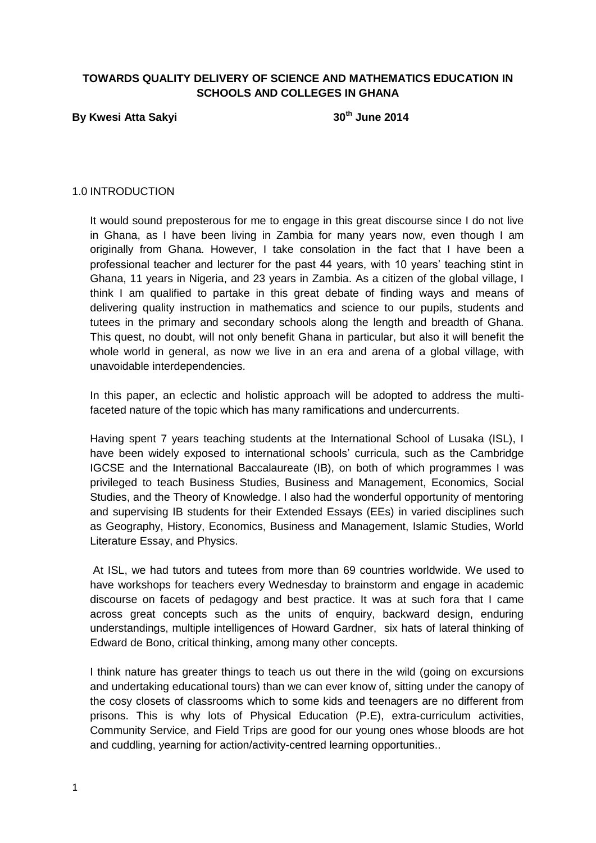# **TOWARDS QUALITY DELIVERY OF SCIENCE AND MATHEMATICS EDUCATION IN SCHOOLS AND COLLEGES IN GHANA**

# **By Kwesi Atta Sakyi 30th June 2014**

#### 1.0 INTRODUCTION

It would sound preposterous for me to engage in this great discourse since I do not live in Ghana, as I have been living in Zambia for many years now, even though I am originally from Ghana. However, I take consolation in the fact that I have been a professional teacher and lecturer for the past 44 years, with 10 years' teaching stint in Ghana, 11 years in Nigeria, and 23 years in Zambia. As a citizen of the global village, I think I am qualified to partake in this great debate of finding ways and means of delivering quality instruction in mathematics and science to our pupils, students and tutees in the primary and secondary schools along the length and breadth of Ghana. This quest, no doubt, will not only benefit Ghana in particular, but also it will benefit the whole world in general, as now we live in an era and arena of a global village, with unavoidable interdependencies.

In this paper, an eclectic and holistic approach will be adopted to address the multifaceted nature of the topic which has many ramifications and undercurrents.

Having spent 7 years teaching students at the International School of Lusaka (ISL), I have been widely exposed to international schools' curricula, such as the Cambridge IGCSE and the International Baccalaureate (IB), on both of which programmes I was privileged to teach Business Studies, Business and Management, Economics, Social Studies, and the Theory of Knowledge. I also had the wonderful opportunity of mentoring and supervising IB students for their Extended Essays (EEs) in varied disciplines such as Geography, History, Economics, Business and Management, Islamic Studies, World Literature Essay, and Physics.

At ISL, we had tutors and tutees from more than 69 countries worldwide. We used to have workshops for teachers every Wednesday to brainstorm and engage in academic discourse on facets of pedagogy and best practice. It was at such fora that I came across great concepts such as the units of enquiry, backward design, enduring understandings, multiple intelligences of Howard Gardner, six hats of lateral thinking of Edward de Bono, critical thinking, among many other concepts.

I think nature has greater things to teach us out there in the wild (going on excursions and undertaking educational tours) than we can ever know of, sitting under the canopy of the cosy closets of classrooms which to some kids and teenagers are no different from prisons. This is why lots of Physical Education (P.E), extra-curriculum activities, Community Service, and Field Trips are good for our young ones whose bloods are hot and cuddling, yearning for action/activity-centred learning opportunities..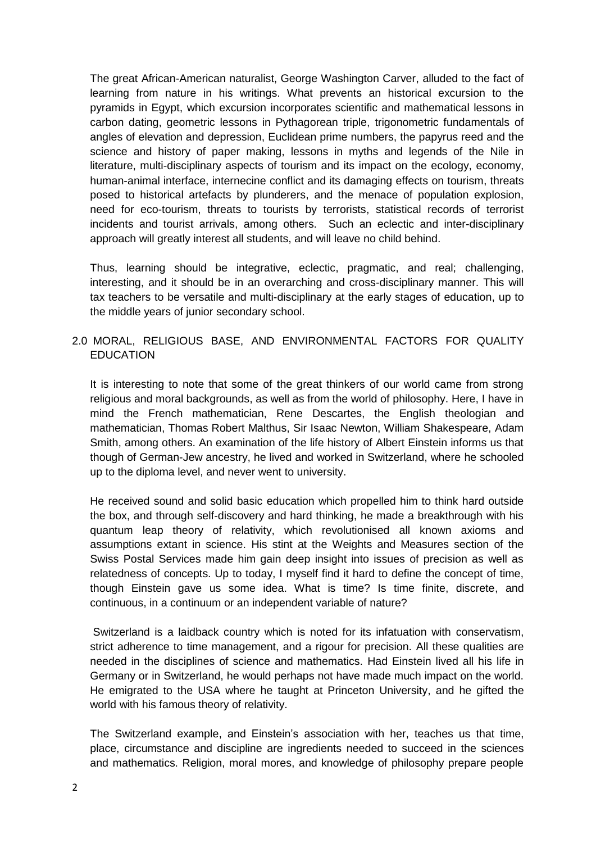The great African-American naturalist, George Washington Carver, alluded to the fact of learning from nature in his writings. What prevents an historical excursion to the pyramids in Egypt, which excursion incorporates scientific and mathematical lessons in carbon dating, geometric lessons in Pythagorean triple, trigonometric fundamentals of angles of elevation and depression, Euclidean prime numbers, the papyrus reed and the science and history of paper making, lessons in myths and legends of the Nile in literature, multi-disciplinary aspects of tourism and its impact on the ecology, economy, human-animal interface, internecine conflict and its damaging effects on tourism, threats posed to historical artefacts by plunderers, and the menace of population explosion, need for eco-tourism, threats to tourists by terrorists, statistical records of terrorist incidents and tourist arrivals, among others. Such an eclectic and inter-disciplinary approach will greatly interest all students, and will leave no child behind.

Thus, learning should be integrative, eclectic, pragmatic, and real; challenging, interesting, and it should be in an overarching and cross-disciplinary manner. This will tax teachers to be versatile and multi-disciplinary at the early stages of education, up to the middle years of junior secondary school.

# 2.0 MORAL, RELIGIOUS BASE, AND ENVIRONMENTAL FACTORS FOR QUALITY EDUCATION

It is interesting to note that some of the great thinkers of our world came from strong religious and moral backgrounds, as well as from the world of philosophy. Here, I have in mind the French mathematician, Rene Descartes, the English theologian and mathematician, Thomas Robert Malthus, Sir Isaac Newton, William Shakespeare, Adam Smith, among others. An examination of the life history of Albert Einstein informs us that though of German-Jew ancestry, he lived and worked in Switzerland, where he schooled up to the diploma level, and never went to university.

He received sound and solid basic education which propelled him to think hard outside the box, and through self-discovery and hard thinking, he made a breakthrough with his quantum leap theory of relativity, which revolutionised all known axioms and assumptions extant in science. His stint at the Weights and Measures section of the Swiss Postal Services made him gain deep insight into issues of precision as well as relatedness of concepts. Up to today, I myself find it hard to define the concept of time, though Einstein gave us some idea. What is time? Is time finite, discrete, and continuous, in a continuum or an independent variable of nature?

Switzerland is a laidback country which is noted for its infatuation with conservatism, strict adherence to time management, and a rigour for precision. All these qualities are needed in the disciplines of science and mathematics. Had Einstein lived all his life in Germany or in Switzerland, he would perhaps not have made much impact on the world. He emigrated to the USA where he taught at Princeton University, and he gifted the world with his famous theory of relativity.

The Switzerland example, and Einstein's association with her, teaches us that time, place, circumstance and discipline are ingredients needed to succeed in the sciences and mathematics. Religion, moral mores, and knowledge of philosophy prepare people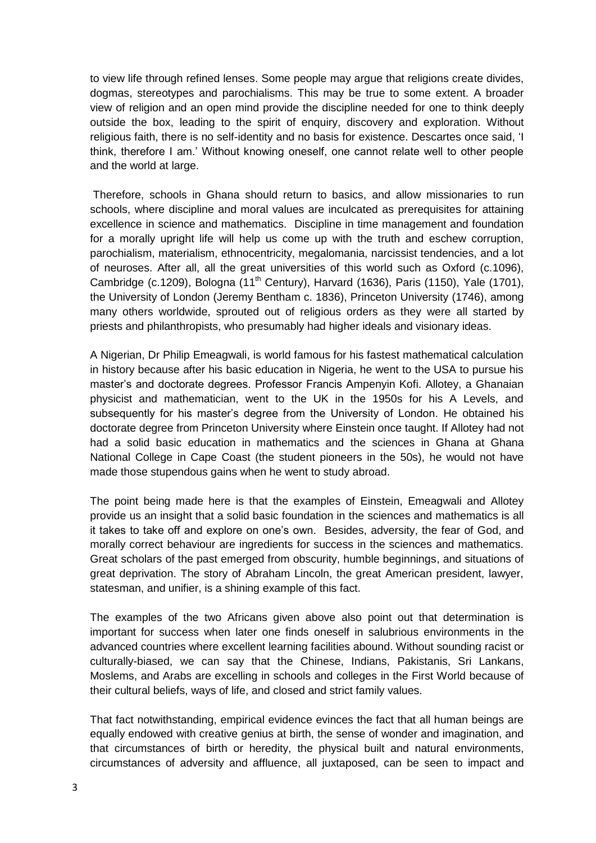to view life through refined lenses. Some people may argue that religions create divides, dogmas, stereotypes and parochialisms. This may be true to some extent. A broader view of religion and an open mind provide the discipline needed for one to think deeply outside the box, leading to the spirit of enquiry, discovery and exploration. Without religious faith, there is no self-identity and no basis for existence. Descartes once said, 'I think, therefore I am.' Without knowing oneself, one cannot relate well to other people and the world at large.

Therefore, schools in Ghana should return to basics, and allow missionaries to run schools, where discipline and moral values are inculcated as prerequisites for attaining excellence in science and mathematics. Discipline in time management and foundation for a morally upright life will help us come up with the truth and eschew corruption, parochialism, materialism, ethnocentricity, megalomania, narcissist tendencies, and a lot of neuroses. After all, all the great universities of this world such as Oxford (c.1096), Cambridge (c.1209), Bologna (11<sup>th</sup> Century), Harvard (1636), Paris (1150), Yale (1701), the University of London (Jeremy Bentham c. 1836), Princeton University (1746), among many others worldwide, sprouted out of religious orders as they were all started by priests and philanthropists, who presumably had higher ideals and visionary ideas.

A Nigerian, Dr Philip Emeagwali, is world famous for his fastest mathematical calculation in history because after his basic education in Nigeria, he went to the USA to pursue his master's and doctorate degrees. Professor Francis Ampenyin Kofi. Allotey, a Ghanaian physicist and mathematician, went to the UK in the 1950s for his A Levels, and subsequently for his master's degree from the University of London. He obtained his doctorate degree from Princeton University where Einstein once taught. If Allotey had not had a solid basic education in mathematics and the sciences in Ghana at Ghana National College in Cape Coast (the student pioneers in the 50s), he would not have made those stupendous gains when he went to study abroad.

The point being made here is that the examples of Einstein, Emeagwali and Allotey provide us an insight that a solid basic foundation in the sciences and mathematics is all it takes to take off and explore on one's own. Besides, adversity, the fear of God, and morally correct behaviour are ingredients for success in the sciences and mathematics. Great scholars of the past emerged from obscurity, humble beginnings, and situations of great deprivation. The story of Abraham Lincoln, the great American president, lawyer, statesman, and unifier, is a shining example of this fact.

The examples of the two Africans given above also point out that determination is important for success when later one finds oneself in salubrious environments in the advanced countries where excellent learning facilities abound. Without sounding racist or culturally-biased, we can say that the Chinese, Indians, Pakistanis, Sri Lankans, Moslems, and Arabs are excelling in schools and colleges in the First World because of their cultural beliefs, ways of life, and closed and strict family values.

That fact notwithstanding, empirical evidence evinces the fact that all human beings are equally endowed with creative genius at birth, the sense of wonder and imagination, and that circumstances of birth or heredity, the physical built and natural environments, circumstances of adversity and affluence, all juxtaposed, can be seen to impact and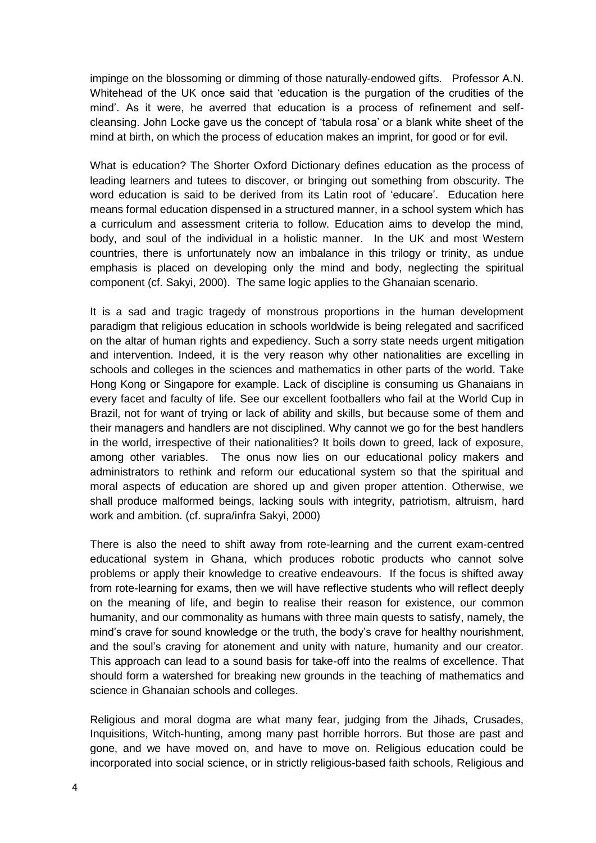impinge on the blossoming or dimming of those naturally-endowed gifts. Professor A.N. Whitehead of the UK once said that 'education is the purgation of the crudities of the mind'. As it were, he averred that education is a process of refinement and selfcleansing. John Locke gave us the concept of 'tabula rosa' or a blank white sheet of the mind at birth, on which the process of education makes an imprint, for good or for evil.

What is education? The Shorter Oxford Dictionary defines education as the process of leading learners and tutees to discover, or bringing out something from obscurity. The word education is said to be derived from its Latin root of 'educare'. Education here means formal education dispensed in a structured manner, in a school system which has a curriculum and assessment criteria to follow. Education aims to develop the mind, body, and soul of the individual in a holistic manner. In the UK and most Western countries, there is unfortunately now an imbalance in this trilogy or trinity, as undue emphasis is placed on developing only the mind and body, neglecting the spiritual component (cf. Sakyi, 2000). The same logic applies to the Ghanaian scenario.

It is a sad and tragic tragedy of monstrous proportions in the human development paradigm that religious education in schools worldwide is being relegated and sacrificed on the altar of human rights and expediency. Such a sorry state needs urgent mitigation and intervention. Indeed, it is the very reason why other nationalities are excelling in schools and colleges in the sciences and mathematics in other parts of the world. Take Hong Kong or Singapore for example. Lack of discipline is consuming us Ghanaians in every facet and faculty of life. See our excellent footballers who fail at the World Cup in Brazil, not for want of trying or lack of ability and skills, but because some of them and their managers and handlers are not disciplined. Why cannot we go for the best handlers in the world, irrespective of their nationalities? It boils down to greed, lack of exposure, among other variables. The onus now lies on our educational policy makers and administrators to rethink and reform our educational system so that the spiritual and moral aspects of education are shored up and given proper attention. Otherwise, we shall produce malformed beings, lacking souls with integrity, patriotism, altruism, hard work and ambition. (cf. supra/infra Sakyi, 2000)

There is also the need to shift away from rote-learning and the current exam-centred educational system in Ghana, which produces robotic products who cannot solve problems or apply their knowledge to creative endeavours. If the focus is shifted away from rote-learning for exams, then we will have reflective students who will reflect deeply on the meaning of life, and begin to realise their reason for existence, our common humanity, and our commonality as humans with three main quests to satisfy, namely, the mind's crave for sound knowledge or the truth, the body's crave for healthy nourishment, and the soul's craving for atonement and unity with nature, humanity and our creator. This approach can lead to a sound basis for take-off into the realms of excellence. That should form a watershed for breaking new grounds in the teaching of mathematics and science in Ghanaian schools and colleges.

Religious and moral dogma are what many fear, judging from the Jihads, Crusades, Inquisitions, Witch-hunting, among many past horrible horrors. But those are past and gone, and we have moved on, and have to move on. Religious education could be incorporated into social science, or in strictly religious-based faith schools, Religious and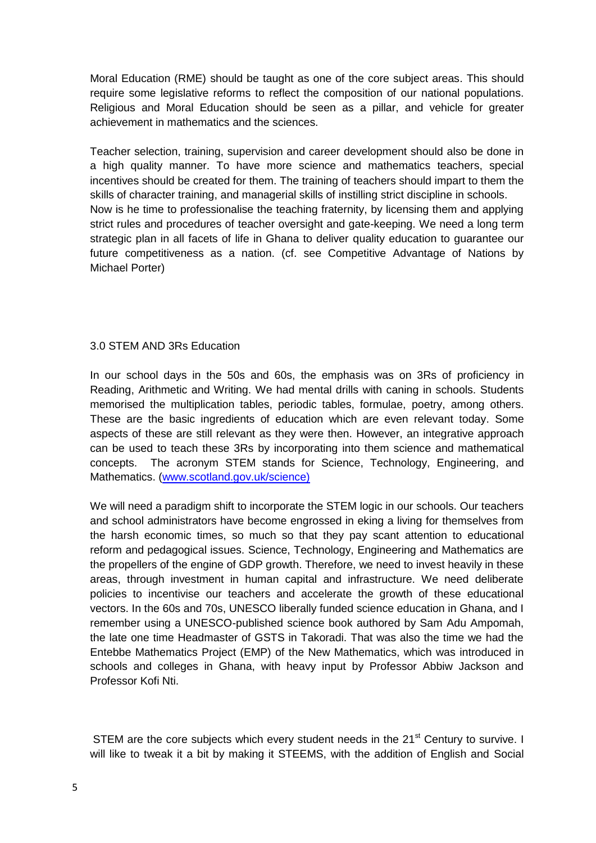Moral Education (RME) should be taught as one of the core subject areas. This should require some legislative reforms to reflect the composition of our national populations. Religious and Moral Education should be seen as a pillar, and vehicle for greater achievement in mathematics and the sciences.

Teacher selection, training, supervision and career development should also be done in a high quality manner. To have more science and mathematics teachers, special incentives should be created for them. The training of teachers should impart to them the skills of character training, and managerial skills of instilling strict discipline in schools. Now is he time to professionalise the teaching fraternity, by licensing them and applying strict rules and procedures of teacher oversight and gate-keeping. We need a long term strategic plan in all facets of life in Ghana to deliver quality education to guarantee our future competitiveness as a nation. (cf. see Competitive Advantage of Nations by Michael Porter)

### 3.0 STEM AND 3Rs Education

In our school days in the 50s and 60s, the emphasis was on 3Rs of proficiency in Reading, Arithmetic and Writing. We had mental drills with caning in schools. Students memorised the multiplication tables, periodic tables, formulae, poetry, among others. These are the basic ingredients of education which are even relevant today. Some aspects of these are still relevant as they were then. However, an integrative approach can be used to teach these 3Rs by incorporating into them science and mathematical concepts. The acronym STEM stands for Science, Technology, Engineering, and Mathematics. [\(www.scotland.gov.uk/science\)](http://www.scotland.gov.uk/science)

We will need a paradigm shift to incorporate the STEM logic in our schools. Our teachers and school administrators have become engrossed in eking a living for themselves from the harsh economic times, so much so that they pay scant attention to educational reform and pedagogical issues. Science, Technology, Engineering and Mathematics are the propellers of the engine of GDP growth. Therefore, we need to invest heavily in these areas, through investment in human capital and infrastructure. We need deliberate policies to incentivise our teachers and accelerate the growth of these educational vectors. In the 60s and 70s, UNESCO liberally funded science education in Ghana, and I remember using a UNESCO-published science book authored by Sam Adu Ampomah, the late one time Headmaster of GSTS in Takoradi. That was also the time we had the Entebbe Mathematics Project (EMP) of the New Mathematics, which was introduced in schools and colleges in Ghana, with heavy input by Professor Abbiw Jackson and Professor Kofi Nti.

STEM are the core subjects which every student needs in the 21<sup>st</sup> Century to survive. I will like to tweak it a bit by making it STEEMS, with the addition of English and Social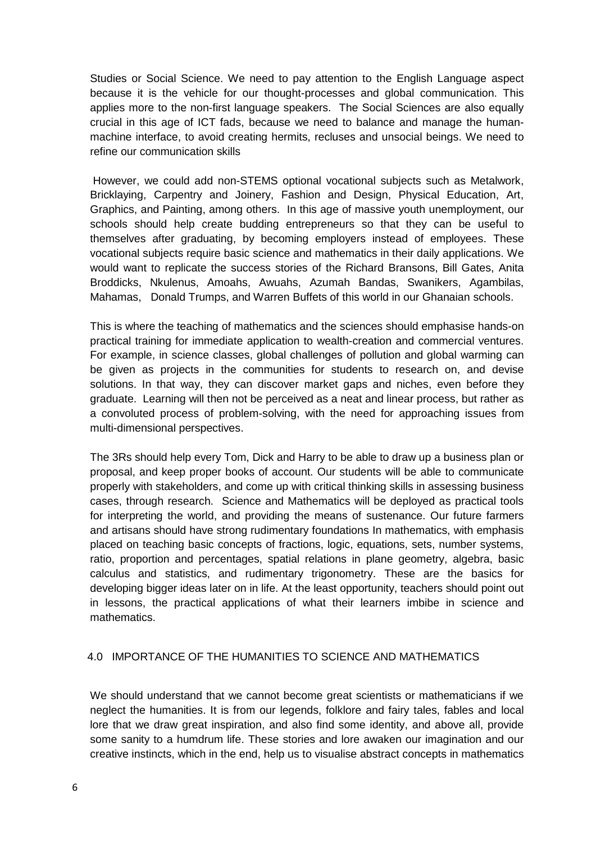Studies or Social Science. We need to pay attention to the English Language aspect because it is the vehicle for our thought-processes and global communication. This applies more to the non-first language speakers. The Social Sciences are also equally crucial in this age of ICT fads, because we need to balance and manage the humanmachine interface, to avoid creating hermits, recluses and unsocial beings. We need to refine our communication skills

However, we could add non-STEMS optional vocational subjects such as Metalwork, Bricklaying, Carpentry and Joinery, Fashion and Design, Physical Education, Art, Graphics, and Painting, among others. In this age of massive youth unemployment, our schools should help create budding entrepreneurs so that they can be useful to themselves after graduating, by becoming employers instead of employees. These vocational subjects require basic science and mathematics in their daily applications. We would want to replicate the success stories of the Richard Bransons, Bill Gates, Anita Broddicks, Nkulenus, Amoahs, Awuahs, Azumah Bandas, Swanikers, Agambilas, Mahamas, Donald Trumps, and Warren Buffets of this world in our Ghanaian schools.

This is where the teaching of mathematics and the sciences should emphasise hands-on practical training for immediate application to wealth-creation and commercial ventures. For example, in science classes, global challenges of pollution and global warming can be given as projects in the communities for students to research on, and devise solutions. In that way, they can discover market gaps and niches, even before they graduate. Learning will then not be perceived as a neat and linear process, but rather as a convoluted process of problem-solving, with the need for approaching issues from multi-dimensional perspectives.

The 3Rs should help every Tom, Dick and Harry to be able to draw up a business plan or proposal, and keep proper books of account. Our students will be able to communicate properly with stakeholders, and come up with critical thinking skills in assessing business cases, through research. Science and Mathematics will be deployed as practical tools for interpreting the world, and providing the means of sustenance. Our future farmers and artisans should have strong rudimentary foundations In mathematics, with emphasis placed on teaching basic concepts of fractions, logic, equations, sets, number systems, ratio, proportion and percentages, spatial relations in plane geometry, algebra, basic calculus and statistics, and rudimentary trigonometry. These are the basics for developing bigger ideas later on in life. At the least opportunity, teachers should point out in lessons, the practical applications of what their learners imbibe in science and mathematics.

## 4.0 IMPORTANCE OF THE HUMANITIES TO SCIENCE AND MATHEMATICS

We should understand that we cannot become great scientists or mathematicians if we neglect the humanities. It is from our legends, folklore and fairy tales, fables and local lore that we draw great inspiration, and also find some identity, and above all, provide some sanity to a humdrum life. These stories and lore awaken our imagination and our creative instincts, which in the end, help us to visualise abstract concepts in mathematics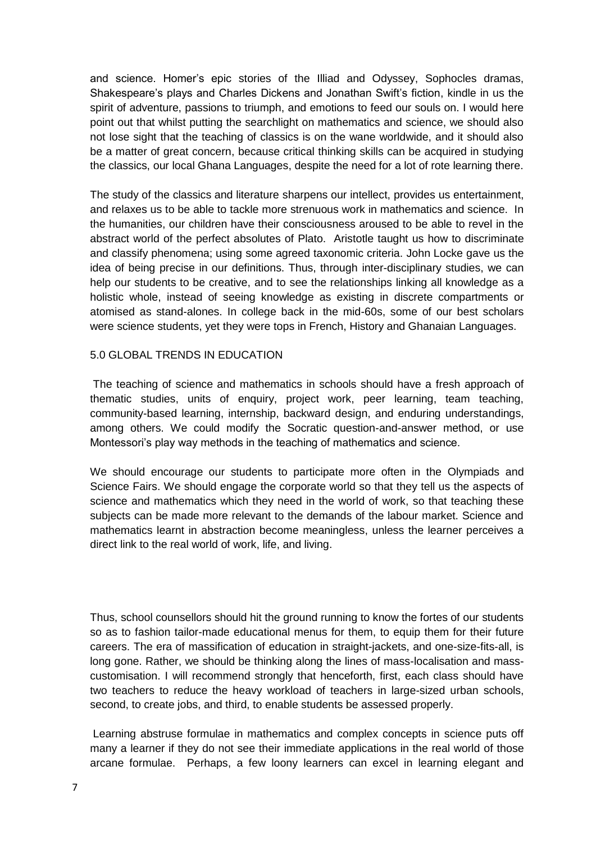and science. Homer's epic stories of the Illiad and Odyssey, Sophocles dramas, Shakespeare's plays and Charles Dickens and Jonathan Swift's fiction, kindle in us the spirit of adventure, passions to triumph, and emotions to feed our souls on. I would here point out that whilst putting the searchlight on mathematics and science, we should also not lose sight that the teaching of classics is on the wane worldwide, and it should also be a matter of great concern, because critical thinking skills can be acquired in studying the classics, our local Ghana Languages, despite the need for a lot of rote learning there.

The study of the classics and literature sharpens our intellect, provides us entertainment, and relaxes us to be able to tackle more strenuous work in mathematics and science. In the humanities, our children have their consciousness aroused to be able to revel in the abstract world of the perfect absolutes of Plato. Aristotle taught us how to discriminate and classify phenomena; using some agreed taxonomic criteria. John Locke gave us the idea of being precise in our definitions. Thus, through inter-disciplinary studies, we can help our students to be creative, and to see the relationships linking all knowledge as a holistic whole, instead of seeing knowledge as existing in discrete compartments or atomised as stand-alones. In college back in the mid-60s, some of our best scholars were science students, yet they were tops in French, History and Ghanaian Languages.

### 5.0 GLOBAL TRENDS IN EDUCATION

The teaching of science and mathematics in schools should have a fresh approach of thematic studies, units of enquiry, project work, peer learning, team teaching, community-based learning, internship, backward design, and enduring understandings, among others. We could modify the Socratic question-and-answer method, or use Montessori's play way methods in the teaching of mathematics and science.

We should encourage our students to participate more often in the Olympiads and Science Fairs. We should engage the corporate world so that they tell us the aspects of science and mathematics which they need in the world of work, so that teaching these subjects can be made more relevant to the demands of the labour market. Science and mathematics learnt in abstraction become meaningless, unless the learner perceives a direct link to the real world of work, life, and living.

Thus, school counsellors should hit the ground running to know the fortes of our students so as to fashion tailor-made educational menus for them, to equip them for their future careers. The era of massification of education in straight-jackets, and one-size-fits-all, is long gone. Rather, we should be thinking along the lines of mass-localisation and masscustomisation. I will recommend strongly that henceforth, first, each class should have two teachers to reduce the heavy workload of teachers in large-sized urban schools, second, to create jobs, and third, to enable students be assessed properly.

Learning abstruse formulae in mathematics and complex concepts in science puts off many a learner if they do not see their immediate applications in the real world of those arcane formulae. Perhaps, a few loony learners can excel in learning elegant and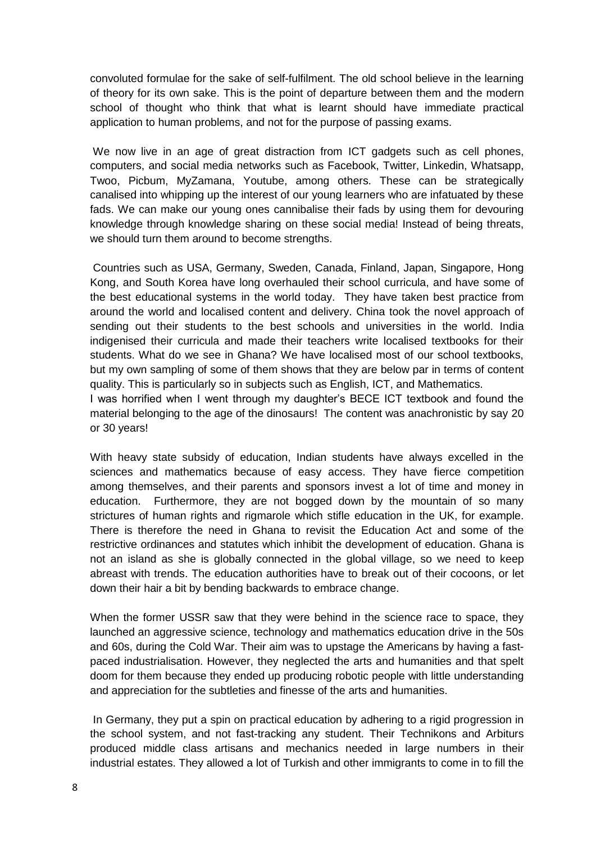convoluted formulae for the sake of self-fulfilment. The old school believe in the learning of theory for its own sake. This is the point of departure between them and the modern school of thought who think that what is learnt should have immediate practical application to human problems, and not for the purpose of passing exams.

We now live in an age of great distraction from ICT gadgets such as cell phones, computers, and social media networks such as Facebook, Twitter, Linkedin, Whatsapp, Twoo, Picbum, MyZamana, Youtube, among others. These can be strategically canalised into whipping up the interest of our young learners who are infatuated by these fads. We can make our young ones cannibalise their fads by using them for devouring knowledge through knowledge sharing on these social media! Instead of being threats, we should turn them around to become strengths.

Countries such as USA, Germany, Sweden, Canada, Finland, Japan, Singapore, Hong Kong, and South Korea have long overhauled their school curricula, and have some of the best educational systems in the world today. They have taken best practice from around the world and localised content and delivery. China took the novel approach of sending out their students to the best schools and universities in the world. India indigenised their curricula and made their teachers write localised textbooks for their students. What do we see in Ghana? We have localised most of our school textbooks, but my own sampling of some of them shows that they are below par in terms of content quality. This is particularly so in subjects such as English, ICT, and Mathematics.

I was horrified when I went through my daughter's BECE ICT textbook and found the material belonging to the age of the dinosaurs! The content was anachronistic by say 20 or 30 years!

With heavy state subsidy of education, Indian students have always excelled in the sciences and mathematics because of easy access. They have fierce competition among themselves, and their parents and sponsors invest a lot of time and money in education. Furthermore, they are not bogged down by the mountain of so many strictures of human rights and rigmarole which stifle education in the UK, for example. There is therefore the need in Ghana to revisit the Education Act and some of the restrictive ordinances and statutes which inhibit the development of education. Ghana is not an island as she is globally connected in the global village, so we need to keep abreast with trends. The education authorities have to break out of their cocoons, or let down their hair a bit by bending backwards to embrace change.

When the former USSR saw that they were behind in the science race to space, they launched an aggressive science, technology and mathematics education drive in the 50s and 60s, during the Cold War. Their aim was to upstage the Americans by having a fastpaced industrialisation. However, they neglected the arts and humanities and that spelt doom for them because they ended up producing robotic people with little understanding and appreciation for the subtleties and finesse of the arts and humanities.

In Germany, they put a spin on practical education by adhering to a rigid progression in the school system, and not fast-tracking any student. Their Technikons and Arbiturs produced middle class artisans and mechanics needed in large numbers in their industrial estates. They allowed a lot of Turkish and other immigrants to come in to fill the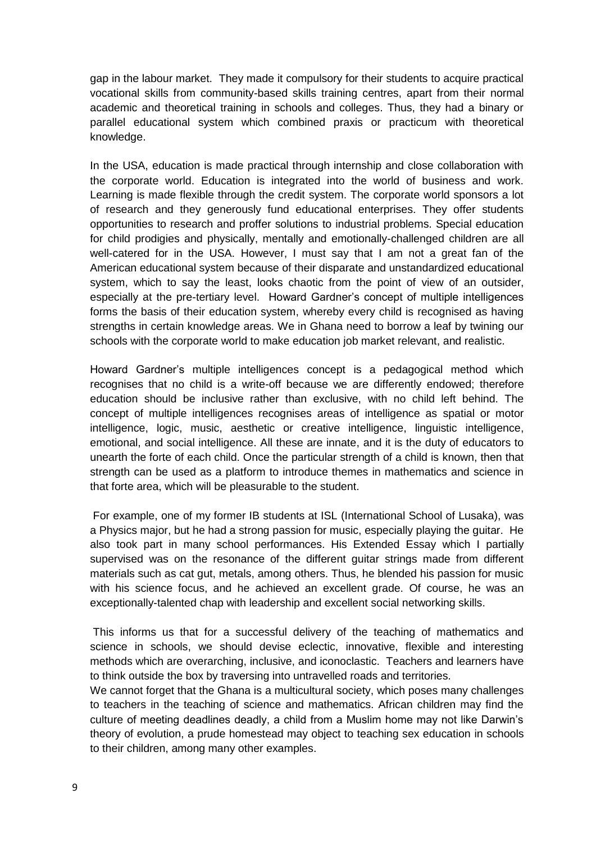gap in the labour market. They made it compulsory for their students to acquire practical vocational skills from community-based skills training centres, apart from their normal academic and theoretical training in schools and colleges. Thus, they had a binary or parallel educational system which combined praxis or practicum with theoretical knowledge.

In the USA, education is made practical through internship and close collaboration with the corporate world. Education is integrated into the world of business and work. Learning is made flexible through the credit system. The corporate world sponsors a lot of research and they generously fund educational enterprises. They offer students opportunities to research and proffer solutions to industrial problems. Special education for child prodigies and physically, mentally and emotionally-challenged children are all well-catered for in the USA. However, I must say that I am not a great fan of the American educational system because of their disparate and unstandardized educational system, which to say the least, looks chaotic from the point of view of an outsider, especially at the pre-tertiary level. Howard Gardner's concept of multiple intelligences forms the basis of their education system, whereby every child is recognised as having strengths in certain knowledge areas. We in Ghana need to borrow a leaf by twining our schools with the corporate world to make education job market relevant, and realistic.

Howard Gardner's multiple intelligences concept is a pedagogical method which recognises that no child is a write-off because we are differently endowed; therefore education should be inclusive rather than exclusive, with no child left behind. The concept of multiple intelligences recognises areas of intelligence as spatial or motor intelligence, logic, music, aesthetic or creative intelligence, linguistic intelligence, emotional, and social intelligence. All these are innate, and it is the duty of educators to unearth the forte of each child. Once the particular strength of a child is known, then that strength can be used as a platform to introduce themes in mathematics and science in that forte area, which will be pleasurable to the student.

For example, one of my former IB students at ISL (International School of Lusaka), was a Physics major, but he had a strong passion for music, especially playing the guitar. He also took part in many school performances. His Extended Essay which I partially supervised was on the resonance of the different guitar strings made from different materials such as cat gut, metals, among others. Thus, he blended his passion for music with his science focus, and he achieved an excellent grade. Of course, he was an exceptionally-talented chap with leadership and excellent social networking skills.

This informs us that for a successful delivery of the teaching of mathematics and science in schools, we should devise eclectic, innovative, flexible and interesting methods which are overarching, inclusive, and iconoclastic. Teachers and learners have to think outside the box by traversing into untravelled roads and territories.

We cannot forget that the Ghana is a multicultural society, which poses many challenges to teachers in the teaching of science and mathematics. African children may find the culture of meeting deadlines deadly, a child from a Muslim home may not like Darwin's theory of evolution, a prude homestead may object to teaching sex education in schools to their children, among many other examples.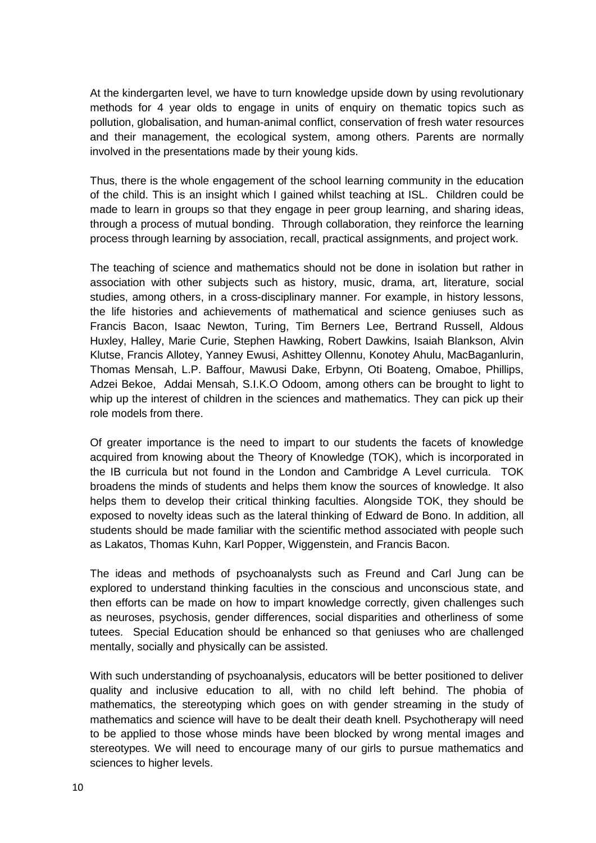At the kindergarten level, we have to turn knowledge upside down by using revolutionary methods for 4 year olds to engage in units of enquiry on thematic topics such as pollution, globalisation, and human-animal conflict, conservation of fresh water resources and their management, the ecological system, among others. Parents are normally involved in the presentations made by their young kids.

Thus, there is the whole engagement of the school learning community in the education of the child. This is an insight which I gained whilst teaching at ISL. Children could be made to learn in groups so that they engage in peer group learning, and sharing ideas, through a process of mutual bonding. Through collaboration, they reinforce the learning process through learning by association, recall, practical assignments, and project work.

The teaching of science and mathematics should not be done in isolation but rather in association with other subjects such as history, music, drama, art, literature, social studies, among others, in a cross-disciplinary manner. For example, in history lessons, the life histories and achievements of mathematical and science geniuses such as Francis Bacon, Isaac Newton, Turing, Tim Berners Lee, Bertrand Russell, Aldous Huxley, Halley, Marie Curie, Stephen Hawking, Robert Dawkins, Isaiah Blankson, Alvin Klutse, Francis Allotey, Yanney Ewusi, Ashittey Ollennu, Konotey Ahulu, MacBaganlurin, Thomas Mensah, L.P. Baffour, Mawusi Dake, Erbynn, Oti Boateng, Omaboe, Phillips, Adzei Bekoe, Addai Mensah, S.I.K.O Odoom, among others can be brought to light to whip up the interest of children in the sciences and mathematics. They can pick up their role models from there.

Of greater importance is the need to impart to our students the facets of knowledge acquired from knowing about the Theory of Knowledge (TOK), which is incorporated in the IB curricula but not found in the London and Cambridge A Level curricula. TOK broadens the minds of students and helps them know the sources of knowledge. It also helps them to develop their critical thinking faculties. Alongside TOK, they should be exposed to novelty ideas such as the lateral thinking of Edward de Bono. In addition, all students should be made familiar with the scientific method associated with people such as Lakatos, Thomas Kuhn, Karl Popper, Wiggenstein, and Francis Bacon.

The ideas and methods of psychoanalysts such as Freund and Carl Jung can be explored to understand thinking faculties in the conscious and unconscious state, and then efforts can be made on how to impart knowledge correctly, given challenges such as neuroses, psychosis, gender differences, social disparities and otherliness of some tutees. Special Education should be enhanced so that geniuses who are challenged mentally, socially and physically can be assisted.

With such understanding of psychoanalysis, educators will be better positioned to deliver quality and inclusive education to all, with no child left behind. The phobia of mathematics, the stereotyping which goes on with gender streaming in the study of mathematics and science will have to be dealt their death knell. Psychotherapy will need to be applied to those whose minds have been blocked by wrong mental images and stereotypes. We will need to encourage many of our girls to pursue mathematics and sciences to higher levels.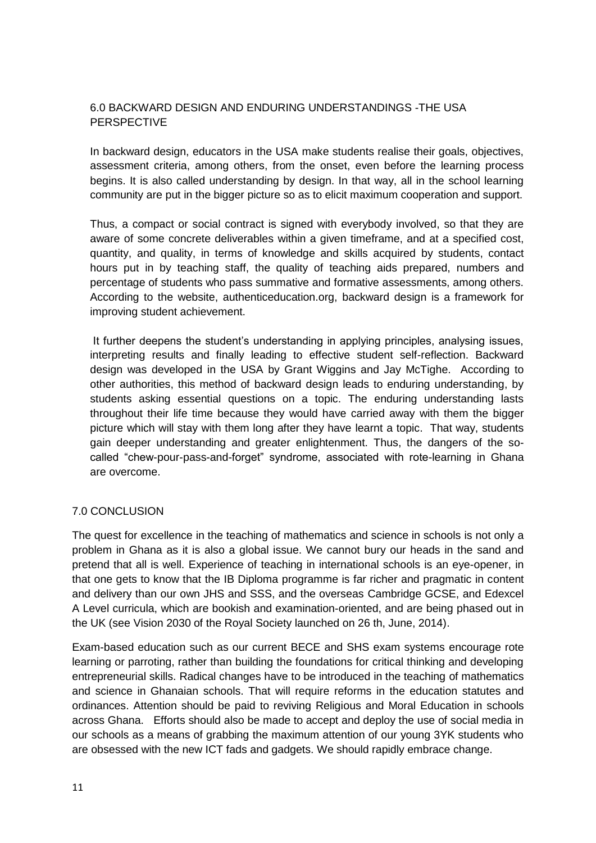# 6.0 BACKWARD DESIGN AND ENDURING UNDERSTANDINGS -THE USA PERSPECTIVE

In backward design, educators in the USA make students realise their goals, objectives, assessment criteria, among others, from the onset, even before the learning process begins. It is also called understanding by design. In that way, all in the school learning community are put in the bigger picture so as to elicit maximum cooperation and support.

Thus, a compact or social contract is signed with everybody involved, so that they are aware of some concrete deliverables within a given timeframe, and at a specified cost, quantity, and quality, in terms of knowledge and skills acquired by students, contact hours put in by teaching staff, the quality of teaching aids prepared, numbers and percentage of students who pass summative and formative assessments, among others. According to the website, authenticeducation.org, backward design is a framework for improving student achievement.

It further deepens the student's understanding in applying principles, analysing issues, interpreting results and finally leading to effective student self-reflection. Backward design was developed in the USA by Grant Wiggins and Jay McTighe. According to other authorities, this method of backward design leads to enduring understanding, by students asking essential questions on a topic. The enduring understanding lasts throughout their life time because they would have carried away with them the bigger picture which will stay with them long after they have learnt a topic. That way, students gain deeper understanding and greater enlightenment. Thus, the dangers of the socalled "chew-pour-pass-and-forget" syndrome, associated with rote-learning in Ghana are overcome.

### 7.0 CONCLUSION

The quest for excellence in the teaching of mathematics and science in schools is not only a problem in Ghana as it is also a global issue. We cannot bury our heads in the sand and pretend that all is well. Experience of teaching in international schools is an eye-opener, in that one gets to know that the IB Diploma programme is far richer and pragmatic in content and delivery than our own JHS and SSS, and the overseas Cambridge GCSE, and Edexcel A Level curricula, which are bookish and examination-oriented, and are being phased out in the UK (see Vision 2030 of the Royal Society launched on 26 th, June, 2014).

Exam-based education such as our current BECE and SHS exam systems encourage rote learning or parroting, rather than building the foundations for critical thinking and developing entrepreneurial skills. Radical changes have to be introduced in the teaching of mathematics and science in Ghanaian schools. That will require reforms in the education statutes and ordinances. Attention should be paid to reviving Religious and Moral Education in schools across Ghana. Efforts should also be made to accept and deploy the use of social media in our schools as a means of grabbing the maximum attention of our young 3YK students who are obsessed with the new ICT fads and gadgets. We should rapidly embrace change.